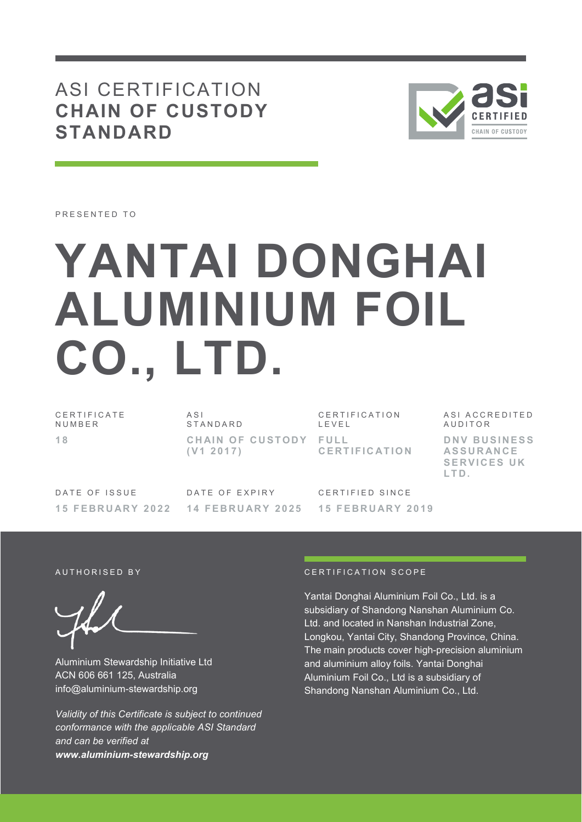# ASI CERTIFICATION **CHAIN OF CUSTODY STANDARD**



**SERVICES UK** 

**L T D .**

PRESENTED TO

# **YANTAI DONGHAI ALUMINIUM FOIL CO., LTD.**

C E R T I F I C A T E **NUMBER 1 8**   $\triangle$  S I S T A N D A R D CHAIN OF CUSTODY FULL **( V 1 2 0 1 7 )**  C E R T I F I C A T I O N L E V E L **C E R T I F I C AT I O N**  ASI ACCREDITED **AUDITOR D N V B U S I N E S S AS S U R AN C E** 

DATE OF ISSUE **1 5 F E B R U AR Y 2 0 2 2** 

DATE OF EXPIRY **1 4 F E B R U AR Y 2 0 2 5** 

CERTIFIED SINCE **1 5 F E B R U AR Y 2 0 1 9** 

Aluminium Stewardship Initiative Ltd ACN 606 661 125, Australia info@aluminium-stewardship.org

*Validity of this Certificate is subject to continued conformance with the applicable ASI Standard and can be verified at www.aluminium-stewardship.org*

#### A UT HORISED BY CERTIFICATION SCOPE

Yantai Donghai Aluminium Foil Co., Ltd. is a subsidiary of Shandong Nanshan Aluminium Co. Ltd. and located in Nanshan Industrial Zone, Longkou, Yantai City, Shandong Province, China. The main products cover high-precision aluminium and aluminium alloy foils. Yantai Donghai Aluminium Foil Co., Ltd is a subsidiary of Shandong Nanshan Aluminium Co., Ltd.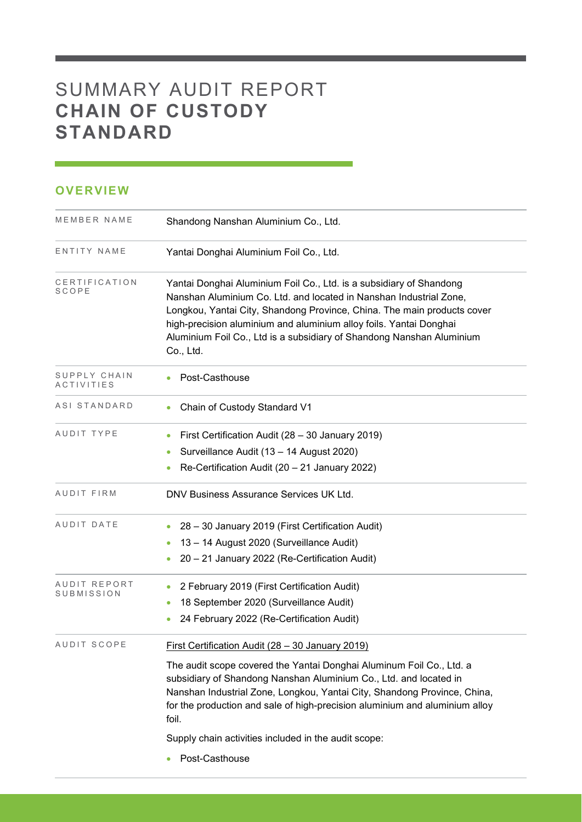# SUMMARY AUDIT REPORT **CHAIN OF CUSTODY STANDARD**

## **OVERVIEW**

| MEMBER NAME                       | Shandong Nanshan Aluminium Co., Ltd.                                                                                                                                                                                                                                                                                                                                                                                      |  |  |  |
|-----------------------------------|---------------------------------------------------------------------------------------------------------------------------------------------------------------------------------------------------------------------------------------------------------------------------------------------------------------------------------------------------------------------------------------------------------------------------|--|--|--|
| ENTITY NAME                       | Yantai Donghai Aluminium Foil Co., Ltd.                                                                                                                                                                                                                                                                                                                                                                                   |  |  |  |
| CERTIFICATION<br><b>SCOPE</b>     | Yantai Donghai Aluminium Foil Co., Ltd. is a subsidiary of Shandong<br>Nanshan Aluminium Co. Ltd. and located in Nanshan Industrial Zone,<br>Longkou, Yantai City, Shandong Province, China. The main products cover<br>high-precision aluminium and aluminium alloy foils. Yantai Donghai<br>Aluminium Foil Co., Ltd is a subsidiary of Shandong Nanshan Aluminium<br>Co., Ltd.                                          |  |  |  |
| SUPPLY CHAIN<br><b>ACTIVITIES</b> | Post-Casthouse                                                                                                                                                                                                                                                                                                                                                                                                            |  |  |  |
| ASI STANDARD                      | Chain of Custody Standard V1                                                                                                                                                                                                                                                                                                                                                                                              |  |  |  |
| AUDIT TYPE                        | First Certification Audit (28 - 30 January 2019)<br>Surveillance Audit (13 - 14 August 2020)<br>$\bullet$<br>Re-Certification Audit (20 - 21 January 2022)                                                                                                                                                                                                                                                                |  |  |  |
| AUDIT FIRM                        | DNV Business Assurance Services UK Ltd.                                                                                                                                                                                                                                                                                                                                                                                   |  |  |  |
| AUDIT DATE                        | 28 - 30 January 2019 (First Certification Audit)<br>13 - 14 August 2020 (Surveillance Audit)<br>20 - 21 January 2022 (Re-Certification Audit)                                                                                                                                                                                                                                                                             |  |  |  |
| AUDIT REPORT<br>SUBMISSION        | 2 February 2019 (First Certification Audit)<br>$\bullet$<br>18 September 2020 (Surveillance Audit)<br>۰<br>24 February 2022 (Re-Certification Audit)<br>$\bullet$                                                                                                                                                                                                                                                         |  |  |  |
| AUDIT SCOPE                       | First Certification Audit (28 - 30 January 2019)<br>The audit scope covered the Yantai Donghai Aluminum Foil Co., Ltd. a<br>subsidiary of Shandong Nanshan Aluminium Co., Ltd. and located in<br>Nanshan Industrial Zone, Longkou, Yantai City, Shandong Province, China,<br>for the production and sale of high-precision aluminium and aluminium alloy<br>foil.<br>Supply chain activities included in the audit scope: |  |  |  |
|                                   | Post-Casthouse                                                                                                                                                                                                                                                                                                                                                                                                            |  |  |  |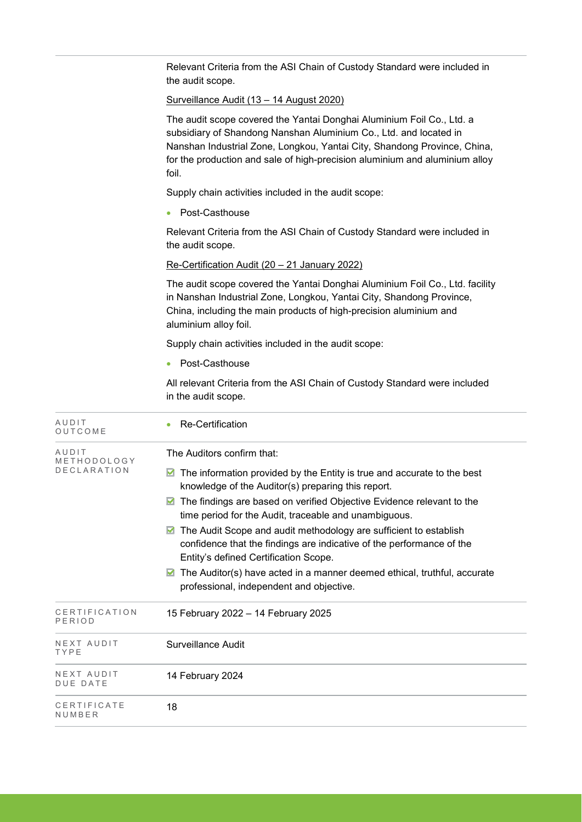Relevant Criteria from the ASI Chain of Custody Standard were included in the audit scope.

Surveillance Audit (13 – 14 August 2020)

The audit scope covered the Yantai Donghai Aluminium Foil Co., Ltd. a subsidiary of Shandong Nanshan Aluminium Co., Ltd. and located in Nanshan Industrial Zone, Longkou, Yantai City, Shandong Province, China, for the production and sale of high-precision aluminium and aluminium alloy foil.

Supply chain activities included in the audit scope:

• Post-Casthouse

Relevant Criteria from the ASI Chain of Custody Standard were included in the audit scope.

Re-Certification Audit (20 – 21 January 2022)

The audit scope covered the Yantai Donghai Aluminium Foil Co., Ltd. facility in Nanshan Industrial Zone, Longkou, Yantai City, Shandong Province, China, including the main products of high-precision aluminium and aluminium alloy foil.

Supply chain activities included in the audit scope:

● Post-Casthouse

All relevant Criteria from the ASI Chain of Custody Standard were included in the audit scope.

| AUDIT<br>OUTCOME                           | Re-Certification                                                                                                                                                                                                                                                                                                                                                                                                                                                                                                                                                                                                  |
|--------------------------------------------|-------------------------------------------------------------------------------------------------------------------------------------------------------------------------------------------------------------------------------------------------------------------------------------------------------------------------------------------------------------------------------------------------------------------------------------------------------------------------------------------------------------------------------------------------------------------------------------------------------------------|
| AUDIT<br>METHODOLOGY<br><b>DECLARATION</b> | The Auditors confirm that:<br>The information provided by the Entity is true and accurate to the best<br>knowledge of the Auditor(s) preparing this report.<br>The findings are based on verified Objective Evidence relevant to the<br>time period for the Audit, traceable and unambiguous.<br>The Audit Scope and audit methodology are sufficient to establish<br>confidence that the findings are indicative of the performance of the<br>Entity's defined Certification Scope.<br>The Auditor(s) have acted in a manner deemed ethical, truthful, accurate<br>M<br>professional, independent and objective. |
| CERTIFICATION<br>PERIOD                    | 15 February 2022 - 14 February 2025                                                                                                                                                                                                                                                                                                                                                                                                                                                                                                                                                                               |
| NEXT AUDIT<br>TYPE                         | Surveillance Audit                                                                                                                                                                                                                                                                                                                                                                                                                                                                                                                                                                                                |
| NEXT AUDIT<br><b>DUE DATE</b>              | 14 February 2024                                                                                                                                                                                                                                                                                                                                                                                                                                                                                                                                                                                                  |
| CERTIFICATE<br>NUMBER                      | 18                                                                                                                                                                                                                                                                                                                                                                                                                                                                                                                                                                                                                |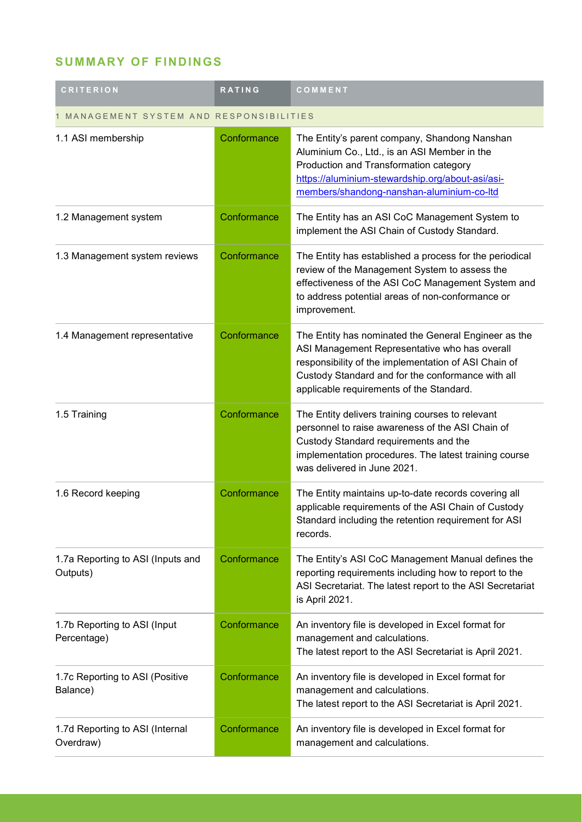## **SUMMARY OF FINDINGS**

| <b>CRITERION</b>                              | RATING      | COMMENT                                                                                                                                                                                                                                                        |  |
|-----------------------------------------------|-------------|----------------------------------------------------------------------------------------------------------------------------------------------------------------------------------------------------------------------------------------------------------------|--|
| MANAGEMENT SYSTEM AND RESPONSIBILITIES        |             |                                                                                                                                                                                                                                                                |  |
| 1.1 ASI membership                            | Conformance | The Entity's parent company, Shandong Nanshan<br>Aluminium Co., Ltd., is an ASI Member in the<br>Production and Transformation category<br>https://aluminium-stewardship.org/about-asi/asi-<br>members/shandong-nanshan-aluminium-co-ltd                       |  |
| 1.2 Management system                         | Conformance | The Entity has an ASI CoC Management System to<br>implement the ASI Chain of Custody Standard.                                                                                                                                                                 |  |
| 1.3 Management system reviews                 | Conformance | The Entity has established a process for the periodical<br>review of the Management System to assess the<br>effectiveness of the ASI CoC Management System and<br>to address potential areas of non-conformance or<br>improvement.                             |  |
| 1.4 Management representative                 | Conformance | The Entity has nominated the General Engineer as the<br>ASI Management Representative who has overall<br>responsibility of the implementation of ASI Chain of<br>Custody Standard and for the conformance with all<br>applicable requirements of the Standard. |  |
| 1.5 Training                                  | Conformance | The Entity delivers training courses to relevant<br>personnel to raise awareness of the ASI Chain of<br>Custody Standard requirements and the<br>implementation procedures. The latest training course<br>was delivered in June 2021.                          |  |
| 1.6 Record keeping                            | Conformance | The Entity maintains up-to-date records covering all<br>applicable requirements of the ASI Chain of Custody<br>Standard including the retention requirement for ASI<br>records.                                                                                |  |
| 1.7a Reporting to ASI (Inputs and<br>Outputs) | Conformance | The Entity's ASI CoC Management Manual defines the<br>reporting requirements including how to report to the<br>ASI Secretariat. The latest report to the ASI Secretariat<br>is April 2021.                                                                     |  |
| 1.7b Reporting to ASI (Input<br>Percentage)   | Conformance | An inventory file is developed in Excel format for<br>management and calculations.<br>The latest report to the ASI Secretariat is April 2021.                                                                                                                  |  |
| 1.7c Reporting to ASI (Positive<br>Balance)   | Conformance | An inventory file is developed in Excel format for<br>management and calculations.<br>The latest report to the ASI Secretariat is April 2021.                                                                                                                  |  |
| 1.7d Reporting to ASI (Internal<br>Overdraw)  | Conformance | An inventory file is developed in Excel format for<br>management and calculations.                                                                                                                                                                             |  |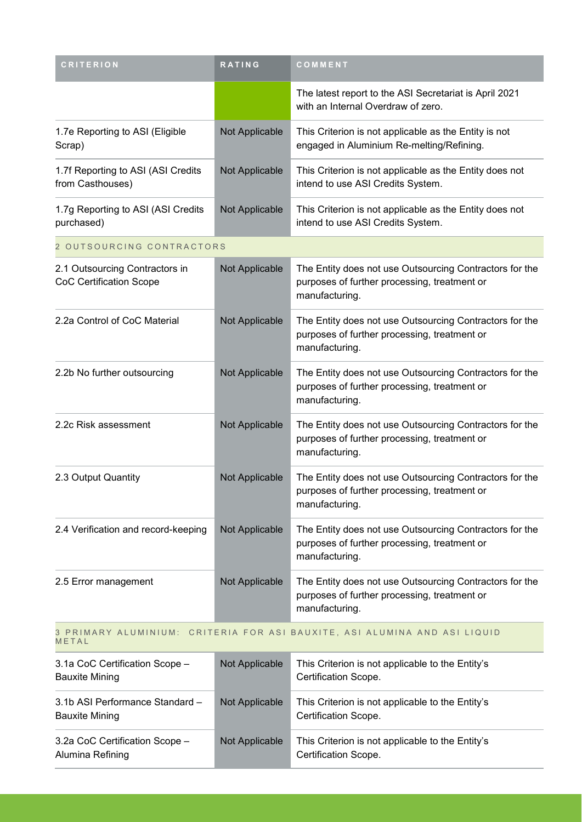| <b>CRITERION</b>                                                                   | RATING         | COMMENT                                                                                                                   |  |
|------------------------------------------------------------------------------------|----------------|---------------------------------------------------------------------------------------------------------------------------|--|
|                                                                                    |                | The latest report to the ASI Secretariat is April 2021<br>with an Internal Overdraw of zero.                              |  |
| 1.7e Reporting to ASI (Eligible<br>Scrap)                                          | Not Applicable | This Criterion is not applicable as the Entity is not<br>engaged in Aluminium Re-melting/Refining.                        |  |
| 1.7f Reporting to ASI (ASI Credits<br>from Casthouses)                             | Not Applicable | This Criterion is not applicable as the Entity does not<br>intend to use ASI Credits System.                              |  |
| 1.7g Reporting to ASI (ASI Credits<br>purchased)                                   | Not Applicable | This Criterion is not applicable as the Entity does not<br>intend to use ASI Credits System.                              |  |
| 2 OUTSOURCING CONTRACTORS                                                          |                |                                                                                                                           |  |
| 2.1 Outsourcing Contractors in<br><b>CoC Certification Scope</b>                   | Not Applicable | The Entity does not use Outsourcing Contractors for the<br>purposes of further processing, treatment or<br>manufacturing. |  |
| 2.2a Control of CoC Material                                                       | Not Applicable | The Entity does not use Outsourcing Contractors for the<br>purposes of further processing, treatment or<br>manufacturing. |  |
| 2.2b No further outsourcing                                                        | Not Applicable | The Entity does not use Outsourcing Contractors for the<br>purposes of further processing, treatment or<br>manufacturing. |  |
| 2.2c Risk assessment                                                               | Not Applicable | The Entity does not use Outsourcing Contractors for the<br>purposes of further processing, treatment or<br>manufacturing. |  |
| 2.3 Output Quantity                                                                | Not Applicable | The Entity does not use Outsourcing Contractors for the<br>purposes of further processing, treatment or<br>manufacturing. |  |
| 2.4 Verification and record-keeping                                                | Not Applicable | The Entity does not use Outsourcing Contractors for the<br>purposes of further processing, treatment or<br>manufacturing. |  |
| 2.5 Error management                                                               | Not Applicable | The Entity does not use Outsourcing Contractors for the<br>purposes of further processing, treatment or<br>manufacturing. |  |
| 3 PRIMARY ALUMINIUM: CRITERIA FOR ASI BAUXITE, ASI ALUMINA AND ASI LIQUID<br>METAL |                |                                                                                                                           |  |

3.1a CoC Certification Scope – Bauxite Mining Not Applicable This Criterion is not applicable to the Entity's Certification Scope. 3.1b ASI Performance Standard – Not Applicable | This Criterion is not applicable to the Entity's

Bauxite Mining Certification Scope. 3.2a CoC Certification Scope – Alumina Refining Not Applicable This Criterion is not applicable to the Entity's Certification Scope.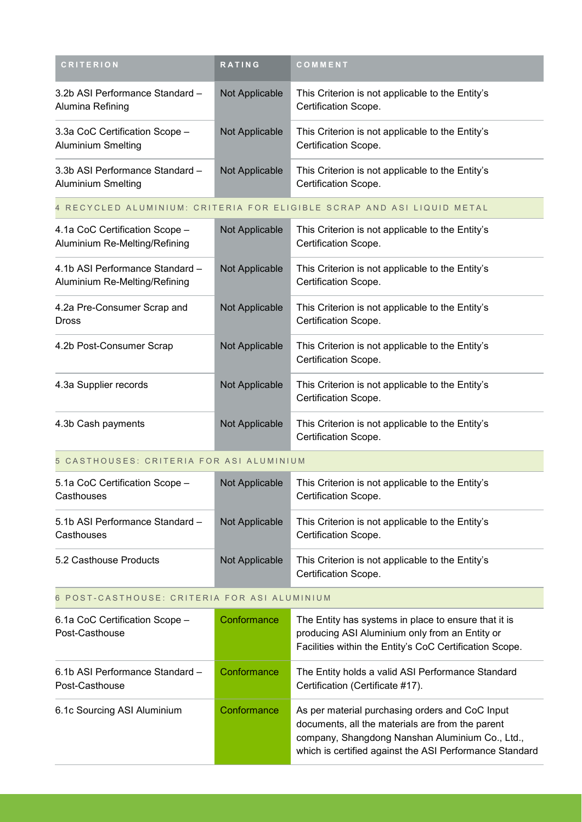| <b>CRITERION</b>                                                       | <b>RATING</b>  | COMMENT                                                                  |
|------------------------------------------------------------------------|----------------|--------------------------------------------------------------------------|
| 3.2b ASI Performance Standard -<br>Alumina Refining                    | Not Applicable | This Criterion is not applicable to the Entity's<br>Certification Scope. |
| 3.3a CoC Certification Scope -<br><b>Aluminium Smelting</b>            | Not Applicable | This Criterion is not applicable to the Entity's<br>Certification Scope. |
| 3.3b ASI Performance Standard -<br>Aluminium Smelting                  | Not Applicable | This Criterion is not applicable to the Entity's<br>Certification Scope. |
| 4 RECYCLED ALUMINIUM: CRITERIA FOR ELIGIBLE SCRAP AND ASI LIQUID METAL |                |                                                                          |

| 4.1a CoC Certification Scope -<br>Aluminium Re-Melting/Refining  | Not Applicable | This Criterion is not applicable to the Entity's<br>Certification Scope. |
|------------------------------------------------------------------|----------------|--------------------------------------------------------------------------|
| 4.1b ASI Performance Standard -<br>Aluminium Re-Melting/Refining | Not Applicable | This Criterion is not applicable to the Entity's<br>Certification Scope. |
| 4.2a Pre-Consumer Scrap and<br><b>Dross</b>                      | Not Applicable | This Criterion is not applicable to the Entity's<br>Certification Scope. |
| 4.2b Post-Consumer Scrap                                         | Not Applicable | This Criterion is not applicable to the Entity's<br>Certification Scope. |
| 4.3a Supplier records                                            | Not Applicable | This Criterion is not applicable to the Entity's<br>Certification Scope. |
| 4.3b Cash payments                                               | Not Applicable | This Criterion is not applicable to the Entity's<br>Certification Scope. |

#### 5 CASTHOUSES: CRITERIA FOR ASI ALUMINIUM

| 5.1a CoC Certification Scope -<br>Casthouses  | Not Applicable | This Criterion is not applicable to the Entity's<br>Certification Scope. |
|-----------------------------------------------|----------------|--------------------------------------------------------------------------|
| 5.1b ASI Performance Standard -<br>Casthouses | Not Applicable | This Criterion is not applicable to the Entity's<br>Certification Scope. |
| 5.2 Casthouse Products                        | Not Applicable | This Criterion is not applicable to the Entity's<br>Certification Scope. |

### 6 POST-CASTHOUSE: CRITERIA FOR ASI ALUMINIUM

| 6.1a CoC Certification Scope -<br>Post-Casthouse  | Conformance | The Entity has systems in place to ensure that it is<br>producing ASI Aluminium only from an Entity or<br>Facilities within the Entity's CoC Certification Scope.                                                 |
|---------------------------------------------------|-------------|-------------------------------------------------------------------------------------------------------------------------------------------------------------------------------------------------------------------|
| 6.1b ASI Performance Standard -<br>Post-Casthouse | Conformance | The Entity holds a valid ASI Performance Standard<br>Certification (Certificate #17).                                                                                                                             |
| 6.1c Sourcing ASI Aluminium                       | Conformance | As per material purchasing orders and CoC Input<br>documents, all the materials are from the parent<br>company, Shangdong Nanshan Aluminium Co., Ltd.,<br>which is certified against the ASI Performance Standard |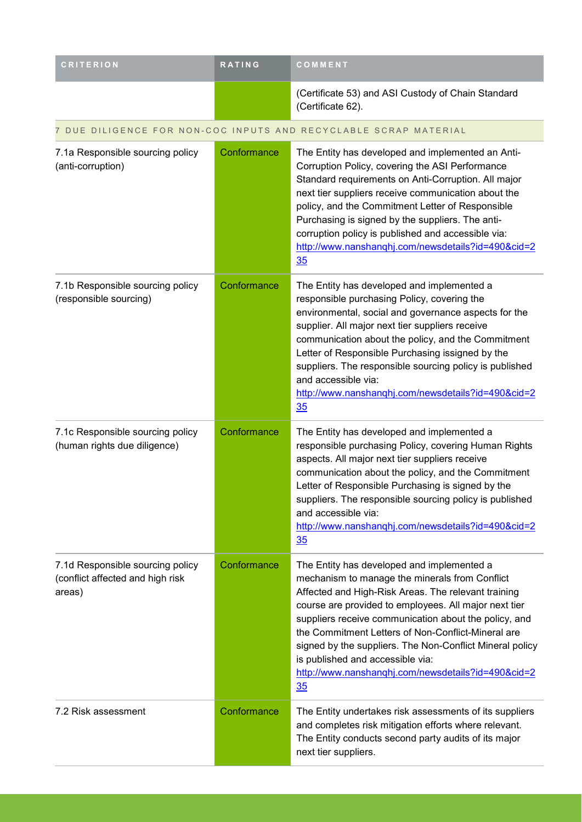| <b>CRITERION</b>                                                               | <b>RATING</b> | COMMENT                                                                                                                                                                                                                                                                                                                                                                                                                                                                                 |
|--------------------------------------------------------------------------------|---------------|-----------------------------------------------------------------------------------------------------------------------------------------------------------------------------------------------------------------------------------------------------------------------------------------------------------------------------------------------------------------------------------------------------------------------------------------------------------------------------------------|
|                                                                                |               | (Certificate 53) and ASI Custody of Chain Standard<br>(Certificate 62).                                                                                                                                                                                                                                                                                                                                                                                                                 |
|                                                                                |               | 7 DUE DILIGENCE FOR NON-COC INPUTS AND RECYCLABLE SCRAP MATERIAL                                                                                                                                                                                                                                                                                                                                                                                                                        |
| 7.1a Responsible sourcing policy<br>(anti-corruption)                          | Conformance   | The Entity has developed and implemented an Anti-<br>Corruption Policy, covering the ASI Performance<br>Standard requirements on Anti-Corruption. All major<br>next tier suppliers receive communication about the<br>policy, and the Commitment Letter of Responsible<br>Purchasing is signed by the suppliers. The anti-<br>corruption policy is published and accessible via:<br>http://www.nanshanqhj.com/newsdetails?id=490&cid=2<br>35                                            |
| 7.1b Responsible sourcing policy<br>(responsible sourcing)                     | Conformance   | The Entity has developed and implemented a<br>responsible purchasing Policy, covering the<br>environmental, social and governance aspects for the<br>supplier. All major next tier suppliers receive<br>communication about the policy, and the Commitment<br>Letter of Responsible Purchasing issigned by the<br>suppliers. The responsible sourcing policy is published<br>and accessible via:<br>http://www.nanshanghj.com/newsdetails?id=490&cid=2<br>35                            |
| 7.1c Responsible sourcing policy<br>(human rights due diligence)               | Conformance   | The Entity has developed and implemented a<br>responsible purchasing Policy, covering Human Rights<br>aspects. All major next tier suppliers receive<br>communication about the policy, and the Commitment<br>Letter of Responsible Purchasing is signed by the<br>suppliers. The responsible sourcing policy is published<br>and accessible via:<br>http://www.nanshanghj.com/newsdetails?id=490&cid=2<br>35                                                                           |
| 7.1d Responsible sourcing policy<br>(conflict affected and high risk<br>areas) | Conformance   | The Entity has developed and implemented a<br>mechanism to manage the minerals from Conflict<br>Affected and High-Risk Areas. The relevant training<br>course are provided to employees. All major next tier<br>suppliers receive communication about the policy, and<br>the Commitment Letters of Non-Conflict-Mineral are<br>signed by the suppliers. The Non-Conflict Mineral policy<br>is published and accessible via:<br>http://www.nanshanghj.com/newsdetails?id=490&cid=2<br>35 |
| 7.2 Risk assessment                                                            | Conformance   | The Entity undertakes risk assessments of its suppliers<br>and completes risk mitigation efforts where relevant.<br>The Entity conducts second party audits of its major<br>next tier suppliers.                                                                                                                                                                                                                                                                                        |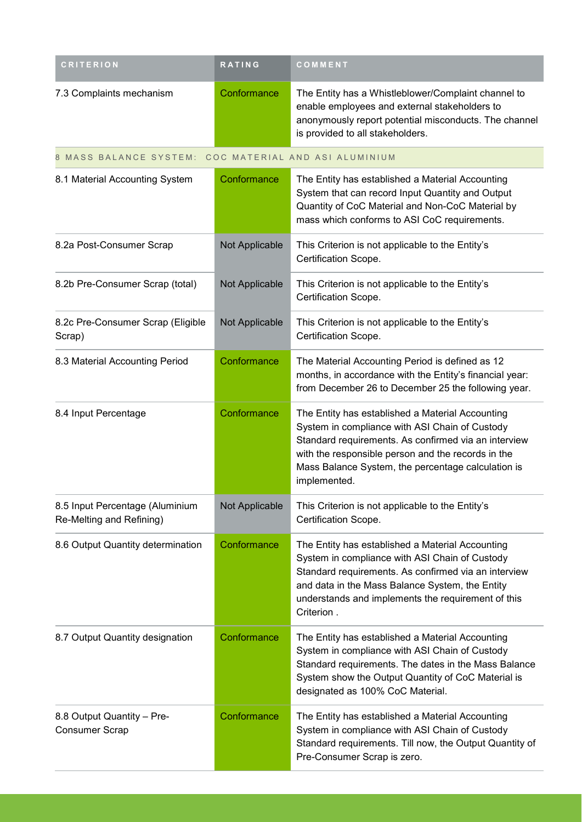| <b>CRITERION</b>                                            | <b>RATING</b>  | COMMENT                                                                                                                                                                                                                                                                                |
|-------------------------------------------------------------|----------------|----------------------------------------------------------------------------------------------------------------------------------------------------------------------------------------------------------------------------------------------------------------------------------------|
| 7.3 Complaints mechanism                                    | Conformance    | The Entity has a Whistleblower/Complaint channel to<br>enable employees and external stakeholders to<br>anonymously report potential misconducts. The channel<br>is provided to all stakeholders.                                                                                      |
| 8 MASS BALANCE SYSTEM: COC MATERIAL AND ASI ALUMINIUM       |                |                                                                                                                                                                                                                                                                                        |
| 8.1 Material Accounting System                              | Conformance    | The Entity has established a Material Accounting<br>System that can record Input Quantity and Output<br>Quantity of CoC Material and Non-CoC Material by<br>mass which conforms to ASI CoC requirements.                                                                               |
| 8.2a Post-Consumer Scrap                                    | Not Applicable | This Criterion is not applicable to the Entity's<br>Certification Scope.                                                                                                                                                                                                               |
| 8.2b Pre-Consumer Scrap (total)                             | Not Applicable | This Criterion is not applicable to the Entity's<br>Certification Scope.                                                                                                                                                                                                               |
| 8.2c Pre-Consumer Scrap (Eligible<br>Scrap)                 | Not Applicable | This Criterion is not applicable to the Entity's<br>Certification Scope.                                                                                                                                                                                                               |
| 8.3 Material Accounting Period                              | Conformance    | The Material Accounting Period is defined as 12<br>months, in accordance with the Entity's financial year:<br>from December 26 to December 25 the following year.                                                                                                                      |
| 8.4 Input Percentage                                        | Conformance    | The Entity has established a Material Accounting<br>System in compliance with ASI Chain of Custody<br>Standard requirements. As confirmed via an interview<br>with the responsible person and the records in the<br>Mass Balance System, the percentage calculation is<br>implemented. |
| 8.5 Input Percentage (Aluminium<br>Re-Melting and Refining) | Not Applicable | This Criterion is not applicable to the Entity's<br>Certification Scope.                                                                                                                                                                                                               |
| 8.6 Output Quantity determination                           | Conformance    | The Entity has established a Material Accounting<br>System in compliance with ASI Chain of Custody<br>Standard requirements. As confirmed via an interview<br>and data in the Mass Balance System, the Entity<br>understands and implements the requirement of this<br>Criterion.      |
| 8.7 Output Quantity designation                             | Conformance    | The Entity has established a Material Accounting<br>System in compliance with ASI Chain of Custody<br>Standard requirements. The dates in the Mass Balance<br>System show the Output Quantity of CoC Material is<br>designated as 100% CoC Material.                                   |
| 8.8 Output Quantity - Pre-<br><b>Consumer Scrap</b>         | Conformance    | The Entity has established a Material Accounting<br>System in compliance with ASI Chain of Custody<br>Standard requirements. Till now, the Output Quantity of<br>Pre-Consumer Scrap is zero.                                                                                           |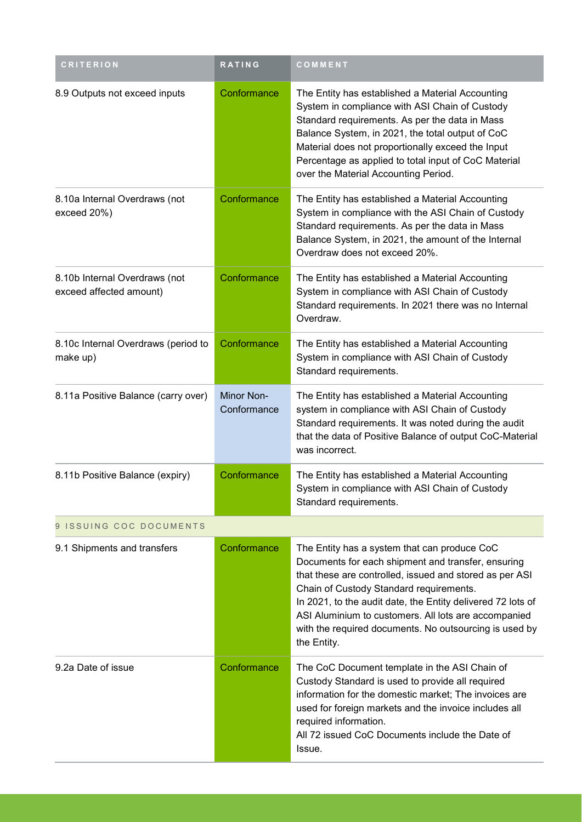| <b>CRITERION</b>                                         | <b>RATING</b>             | COMMENT                                                                                                                                                                                                                                                                                                                                                                                                  |
|----------------------------------------------------------|---------------------------|----------------------------------------------------------------------------------------------------------------------------------------------------------------------------------------------------------------------------------------------------------------------------------------------------------------------------------------------------------------------------------------------------------|
| 8.9 Outputs not exceed inputs                            | Conformance               | The Entity has established a Material Accounting<br>System in compliance with ASI Chain of Custody<br>Standard requirements. As per the data in Mass<br>Balance System, in 2021, the total output of CoC<br>Material does not proportionally exceed the Input<br>Percentage as applied to total input of CoC Material<br>over the Material Accounting Period.                                            |
| 8.10a Internal Overdraws (not<br>exceed 20%)             | Conformance               | The Entity has established a Material Accounting<br>System in compliance with the ASI Chain of Custody<br>Standard requirements. As per the data in Mass<br>Balance System, in 2021, the amount of the Internal<br>Overdraw does not exceed 20%.                                                                                                                                                         |
| 8.10b Internal Overdraws (not<br>exceed affected amount) | Conformance               | The Entity has established a Material Accounting<br>System in compliance with ASI Chain of Custody<br>Standard requirements. In 2021 there was no Internal<br>Overdraw.                                                                                                                                                                                                                                  |
| 8.10c Internal Overdraws (period to<br>make up)          | Conformance               | The Entity has established a Material Accounting<br>System in compliance with ASI Chain of Custody<br>Standard requirements.                                                                                                                                                                                                                                                                             |
| 8.11a Positive Balance (carry over)                      | Minor Non-<br>Conformance | The Entity has established a Material Accounting<br>system in compliance with ASI Chain of Custody<br>Standard requirements. It was noted during the audit<br>that the data of Positive Balance of output CoC-Material<br>was incorrect.                                                                                                                                                                 |
| 8.11b Positive Balance (expiry)                          | Conformance               | The Entity has established a Material Accounting<br>System in compliance with ASI Chain of Custody<br>Standard requirements.                                                                                                                                                                                                                                                                             |
| 9 ISSUING COC DOCUMENTS                                  |                           |                                                                                                                                                                                                                                                                                                                                                                                                          |
| 9.1 Shipments and transfers                              | Conformance               | The Entity has a system that can produce CoC<br>Documents for each shipment and transfer, ensuring<br>that these are controlled, issued and stored as per ASI<br>Chain of Custody Standard requirements.<br>In 2021, to the audit date, the Entity delivered 72 lots of<br>ASI Aluminium to customers. All lots are accompanied<br>with the required documents. No outsourcing is used by<br>the Entity. |
| 9.2a Date of issue                                       | Conformance               | The CoC Document template in the ASI Chain of<br>Custody Standard is used to provide all required<br>information for the domestic market; The invoices are<br>used for foreign markets and the invoice includes all<br>required information.<br>All 72 issued CoC Documents include the Date of<br>Issue.                                                                                                |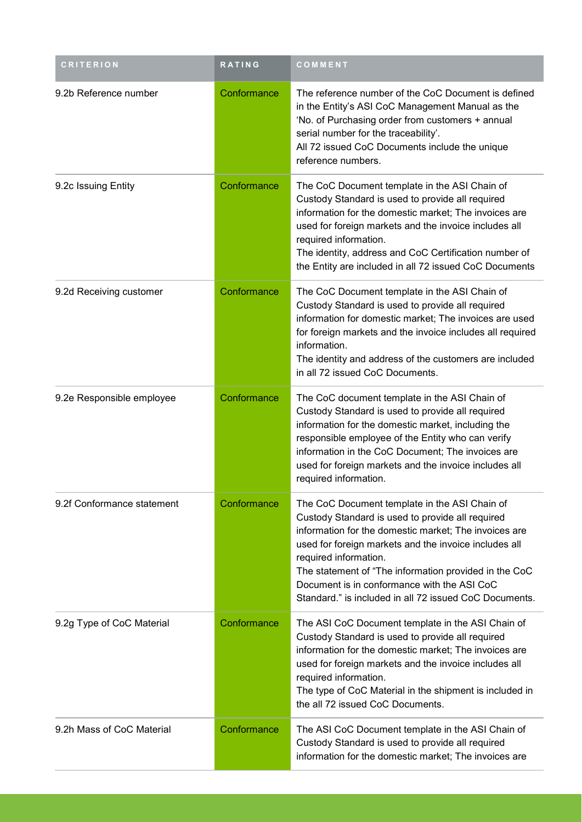| <b>CRITERION</b>           | RATING      | COMMENT                                                                                                                                                                                                                                                                                                                                                                                                        |
|----------------------------|-------------|----------------------------------------------------------------------------------------------------------------------------------------------------------------------------------------------------------------------------------------------------------------------------------------------------------------------------------------------------------------------------------------------------------------|
| 9.2b Reference number      | Conformance | The reference number of the CoC Document is defined<br>in the Entity's ASI CoC Management Manual as the<br>'No. of Purchasing order from customers + annual<br>serial number for the traceability'.<br>All 72 issued CoC Documents include the unique<br>reference numbers.                                                                                                                                    |
| 9.2c Issuing Entity        | Conformance | The CoC Document template in the ASI Chain of<br>Custody Standard is used to provide all required<br>information for the domestic market; The invoices are<br>used for foreign markets and the invoice includes all<br>required information.<br>The identity, address and CoC Certification number of<br>the Entity are included in all 72 issued CoC Documents                                                |
| 9.2d Receiving customer    | Conformance | The CoC Document template in the ASI Chain of<br>Custody Standard is used to provide all required<br>information for domestic market; The invoices are used<br>for foreign markets and the invoice includes all required<br>information.<br>The identity and address of the customers are included<br>in all 72 issued CoC Documents.                                                                          |
| 9.2e Responsible employee  | Conformance | The CoC document template in the ASI Chain of<br>Custody Standard is used to provide all required<br>information for the domestic market, including the<br>responsible employee of the Entity who can verify<br>information in the CoC Document; The invoices are<br>used for foreign markets and the invoice includes all<br>required information.                                                            |
| 9.2f Conformance statement | Conformance | The CoC Document template in the ASI Chain of<br>Custody Standard is used to provide all required<br>information for the domestic market; The invoices are<br>used for foreign markets and the invoice includes all<br>required information.<br>The statement of "The information provided in the CoC<br>Document is in conformance with the ASI CoC<br>Standard." is included in all 72 issued CoC Documents. |
| 9.2g Type of CoC Material  | Conformance | The ASI CoC Document template in the ASI Chain of<br>Custody Standard is used to provide all required<br>information for the domestic market; The invoices are<br>used for foreign markets and the invoice includes all<br>required information.<br>The type of CoC Material in the shipment is included in<br>the all 72 issued CoC Documents.                                                                |
| 9.2h Mass of CoC Material  | Conformance | The ASI CoC Document template in the ASI Chain of<br>Custody Standard is used to provide all required<br>information for the domestic market; The invoices are                                                                                                                                                                                                                                                 |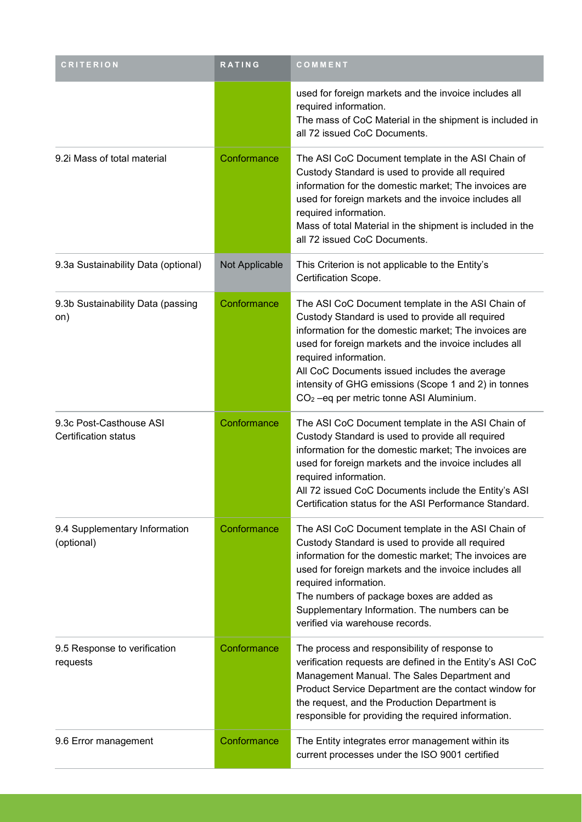| <b>CRITERION</b>                                | RATING         | COMMENT                                                                                                                                                                                                                                                                                                                                                                                                          |
|-------------------------------------------------|----------------|------------------------------------------------------------------------------------------------------------------------------------------------------------------------------------------------------------------------------------------------------------------------------------------------------------------------------------------------------------------------------------------------------------------|
|                                                 |                | used for foreign markets and the invoice includes all<br>required information.<br>The mass of CoC Material in the shipment is included in<br>all 72 issued CoC Documents.                                                                                                                                                                                                                                        |
| 9.2i Mass of total material                     | Conformance    | The ASI CoC Document template in the ASI Chain of<br>Custody Standard is used to provide all required<br>information for the domestic market; The invoices are<br>used for foreign markets and the invoice includes all<br>required information.<br>Mass of total Material in the shipment is included in the<br>all 72 issued CoC Documents.                                                                    |
| 9.3a Sustainability Data (optional)             | Not Applicable | This Criterion is not applicable to the Entity's<br>Certification Scope.                                                                                                                                                                                                                                                                                                                                         |
| 9.3b Sustainability Data (passing<br>on)        | Conformance    | The ASI CoC Document template in the ASI Chain of<br>Custody Standard is used to provide all required<br>information for the domestic market; The invoices are<br>used for foreign markets and the invoice includes all<br>required information.<br>All CoC Documents issued includes the average<br>intensity of GHG emissions (Scope 1 and 2) in tonnes<br>CO <sub>2</sub> -eq per metric tonne ASI Aluminium. |
| 9.3c Post-Casthouse ASI<br>Certification status | Conformance    | The ASI CoC Document template in the ASI Chain of<br>Custody Standard is used to provide all required<br>information for the domestic market; The invoices are<br>used for foreign markets and the invoice includes all<br>required information.<br>All 72 issued CoC Documents include the Entity's ASI<br>Certification status for the ASI Performance Standard.                                               |
| 9.4 Supplementary Information<br>(optional)     | Conformance    | The ASI CoC Document template in the ASI Chain of<br>Custody Standard is used to provide all required<br>information for the domestic market; The invoices are<br>used for foreign markets and the invoice includes all<br>required information.<br>The numbers of package boxes are added as<br>Supplementary Information. The numbers can be<br>verified via warehouse records.                                |
| 9.5 Response to verification<br>requests        | Conformance    | The process and responsibility of response to<br>verification requests are defined in the Entity's ASI CoC<br>Management Manual. The Sales Department and<br>Product Service Department are the contact window for<br>the request, and the Production Department is<br>responsible for providing the required information.                                                                                       |
| 9.6 Error management                            | Conformance    | The Entity integrates error management within its<br>current processes under the ISO 9001 certified                                                                                                                                                                                                                                                                                                              |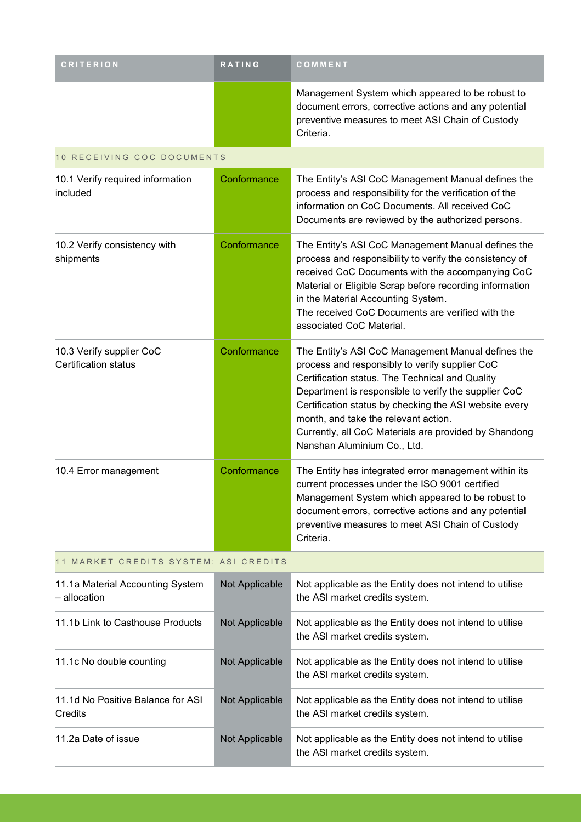| <b>CRITERION</b>                                        | <b>RATING</b>  | COMMENT                                                                                                                                                                                                                                                                                                                                                                                                   |
|---------------------------------------------------------|----------------|-----------------------------------------------------------------------------------------------------------------------------------------------------------------------------------------------------------------------------------------------------------------------------------------------------------------------------------------------------------------------------------------------------------|
|                                                         |                | Management System which appeared to be robust to<br>document errors, corrective actions and any potential<br>preventive measures to meet ASI Chain of Custody<br>Criteria.                                                                                                                                                                                                                                |
| 10 RECEIVING COC DOCUMENTS                              |                |                                                                                                                                                                                                                                                                                                                                                                                                           |
| 10.1 Verify required information<br>included            | Conformance    | The Entity's ASI CoC Management Manual defines the<br>process and responsibility for the verification of the<br>information on CoC Documents. All received CoC<br>Documents are reviewed by the authorized persons.                                                                                                                                                                                       |
| 10.2 Verify consistency with<br>shipments               | Conformance    | The Entity's ASI CoC Management Manual defines the<br>process and responsibility to verify the consistency of<br>received CoC Documents with the accompanying CoC<br>Material or Eligible Scrap before recording information<br>in the Material Accounting System.<br>The received CoC Documents are verified with the<br>associated CoC Material.                                                        |
| 10.3 Verify supplier CoC<br><b>Certification status</b> | Conformance    | The Entity's ASI CoC Management Manual defines the<br>process and responsibly to verify supplier CoC<br>Certification status. The Technical and Quality<br>Department is responsible to verify the supplier CoC<br>Certification status by checking the ASI website every<br>month, and take the relevant action.<br>Currently, all CoC Materials are provided by Shandong<br>Nanshan Aluminium Co., Ltd. |
| 10.4 Error management                                   | Conformance    | The Entity has integrated error management within its<br>current processes under the ISO 9001 certified<br>Management System which appeared to be robust to<br>document errors, corrective actions and any potential<br>preventive measures to meet ASI Chain of Custody<br>Criteria.                                                                                                                     |
| 11 MARKET CREDITS SYSTEM: ASI CREDITS                   |                |                                                                                                                                                                                                                                                                                                                                                                                                           |
| 11.1a Material Accounting System<br>- allocation        | Not Applicable | Not applicable as the Entity does not intend to utilise<br>the ASI market credits system.                                                                                                                                                                                                                                                                                                                 |
| 11.1b Link to Casthouse Products                        | Not Applicable | Not applicable as the Entity does not intend to utilise<br>the ASI market credits system.                                                                                                                                                                                                                                                                                                                 |
| 11.1c No double counting                                | Not Applicable | Not applicable as the Entity does not intend to utilise<br>the ASI market credits system.                                                                                                                                                                                                                                                                                                                 |
| 11.1d No Positive Balance for ASI<br>Credits            | Not Applicable | Not applicable as the Entity does not intend to utilise<br>the ASI market credits system.                                                                                                                                                                                                                                                                                                                 |
| 11.2a Date of issue                                     | Not Applicable | Not applicable as the Entity does not intend to utilise<br>the ASI market credits system.                                                                                                                                                                                                                                                                                                                 |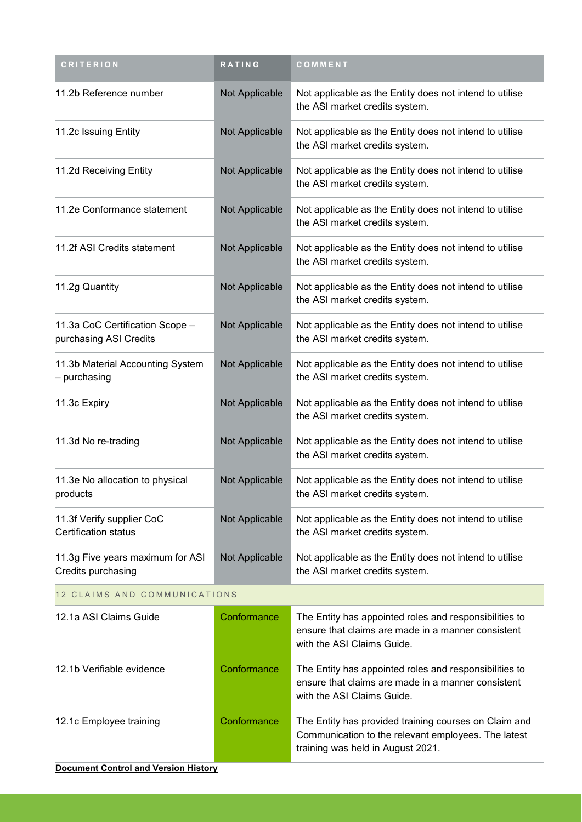| <b>CRITERION</b>                                          | RATING         | COMMENT                                                                                                                                           |  |  |
|-----------------------------------------------------------|----------------|---------------------------------------------------------------------------------------------------------------------------------------------------|--|--|
| 11.2b Reference number                                    | Not Applicable | Not applicable as the Entity does not intend to utilise<br>the ASI market credits system.                                                         |  |  |
| 11.2c Issuing Entity                                      | Not Applicable | Not applicable as the Entity does not intend to utilise<br>the ASI market credits system.                                                         |  |  |
| 11.2d Receiving Entity                                    | Not Applicable | Not applicable as the Entity does not intend to utilise<br>the ASI market credits system.                                                         |  |  |
| 11.2e Conformance statement                               | Not Applicable | Not applicable as the Entity does not intend to utilise<br>the ASI market credits system.                                                         |  |  |
| 11.2f ASI Credits statement                               | Not Applicable | Not applicable as the Entity does not intend to utilise<br>the ASI market credits system.                                                         |  |  |
| 11.2g Quantity                                            | Not Applicable | Not applicable as the Entity does not intend to utilise<br>the ASI market credits system.                                                         |  |  |
| 11.3a CoC Certification Scope -<br>purchasing ASI Credits | Not Applicable | Not applicable as the Entity does not intend to utilise<br>the ASI market credits system.                                                         |  |  |
| 11.3b Material Accounting System<br>- purchasing          | Not Applicable | Not applicable as the Entity does not intend to utilise<br>the ASI market credits system.                                                         |  |  |
| 11.3c Expiry                                              | Not Applicable | Not applicable as the Entity does not intend to utilise<br>the ASI market credits system.                                                         |  |  |
| 11.3d No re-trading                                       | Not Applicable | Not applicable as the Entity does not intend to utilise<br>the ASI market credits system.                                                         |  |  |
| 11.3e No allocation to physical<br>products               | Not Applicable | Not applicable as the Entity does not intend to utilise<br>the ASI market credits system.                                                         |  |  |
| 11.3f Verify supplier CoC<br><b>Certification status</b>  | Not Applicable | Not applicable as the Entity does not intend to utilise<br>the ASI market credits system.                                                         |  |  |
| 11.3g Five years maximum for ASI<br>Credits purchasing    | Not Applicable | Not applicable as the Entity does not intend to utilise<br>the ASI market credits system.                                                         |  |  |
| 12 CLAIMS AND COMMUNICATIONS                              |                |                                                                                                                                                   |  |  |
| 12.1a ASI Claims Guide                                    | Conformance    | The Entity has appointed roles and responsibilities to<br>ensure that claims are made in a manner consistent<br>with the ASI Claims Guide.        |  |  |
| 12.1b Verifiable evidence                                 | Conformance    | The Entity has appointed roles and responsibilities to<br>ensure that claims are made in a manner consistent<br>with the ASI Claims Guide.        |  |  |
| 12.1c Employee training                                   | Conformance    | The Entity has provided training courses on Claim and<br>Communication to the relevant employees. The latest<br>training was held in August 2021. |  |  |
| <b>Document Control and Version History</b>               |                |                                                                                                                                                   |  |  |